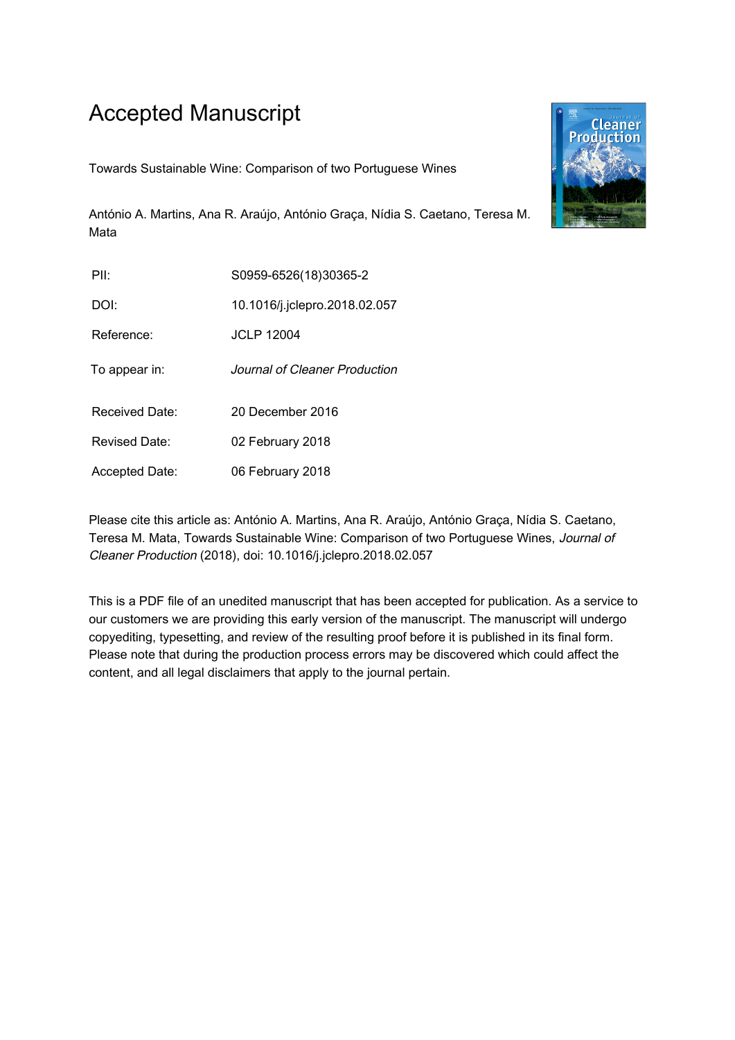# Accepted Manuscript

Towards Sustainable Wine: Comparison of two Portuguese Wines

António A. Martins, Ana R. Araújo, António Graça, Nídia S. Caetano, Teresa M. Mata

| PII:           | S0959-6526(18)30365-2         |
|----------------|-------------------------------|
| DOI:           | 10.1016/j.jclepro.2018.02.057 |
| Reference:     | <b>JCLP 12004</b>             |
| To appear in:  | Journal of Cleaner Production |
| Received Date: | 20 December 2016              |
| Revised Date:  | 02 February 2018              |
| Accepted Date: | 06 February 2018              |

Please cite this article as: António A. Martins, Ana R. Araújo, António Graça, Nídia S. Caetano, Teresa M. Mata, Towards Sustainable Wine: Comparison of two Portuguese Wines, Journal of Cleaner Production (2018), doi: 10.1016/j.jclepro.2018.02.057

This is a PDF file of an unedited manuscript that has been accepted for publication. As a service to our customers we are providing this early version of the manuscript. The manuscript will undergo copyediting, typesetting, and review of the resulting proof before it is published in its final form. Please note that during the production process errors may be discovered which could affect the content, and all legal disclaimers that apply to the journal pertain.

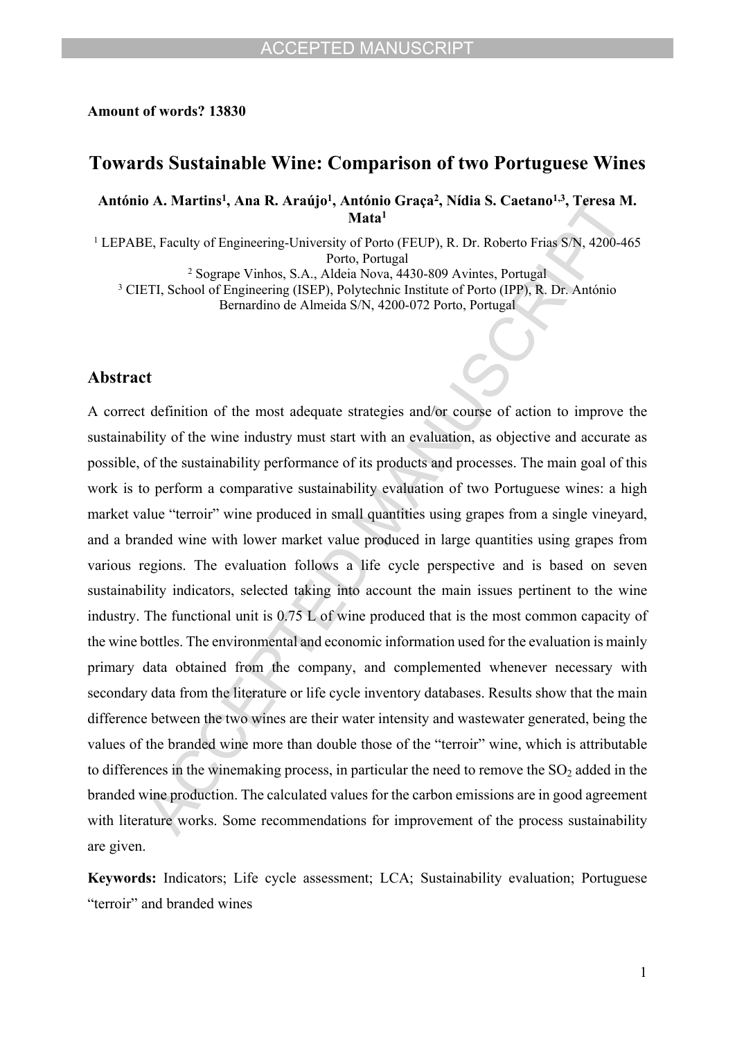#### **Amount of words? 13830**

### **Towards Sustainable Wine: Comparison of two Portuguese Wines**

**António A. Martins<sup>1</sup> , Ana R. Araújo<sup>1</sup> , António Graça<sup>2</sup> , Nídia S. Caetano1,3, Teresa M. Mata<sup>1</sup>**

<sup>1</sup> LEPABE, Faculty of Engineering-University of Porto (FEUP), R. Dr. Roberto Frias S/N, 4200-465 Porto, Portugal

2 Sogrape Vinhos, S.A., Aldeia Nova, 4430-809 Avintes, Portugal

<sup>3</sup> CIETI, School of Engineering (ISEP), Polytechnic Institute of Porto (IPP), R. Dr. António

Bernardino de Almeida S/N, 4200-072 Porto, Portugal

#### **Abstract**

A correct definition of the most adequate strategies and/or course of action to improve the sustainability of the wine industry must start with an evaluation, as objective and accurate as possible, of the sustainability performance of its products and processes. The main goal of this work is to perform a comparative sustainability evaluation of two Portuguese wines: a high market value "terroir" wine produced in small quantities using grapes from a single vineyard, and a branded wine with lower market value produced in large quantities using grapes from various regions. The evaluation follows a life cycle perspective and is based on seven sustainability indicators, selected taking into account the main issues pertinent to the wine industry. The functional unit is 0.75 L of wine produced that is the most common capacity of the wine bottles. The environmental and economic information used for the evaluation is mainly primary data obtained from the company, and complemented whenever necessary with secondary data from the literature or life cycle inventory databases. Results show that the main difference between the two wines are their water intensity and wastewater generated, being the values of the branded wine more than double those of the "terroir" wine, which is attributable to differences in the winemaking process, in particular the need to remove the  $SO<sub>2</sub>$  added in the branded wine production. The calculated values for the carbon emissions are in good agreement with literature works. Some recommendations for improvement of the process sustainability are given.

**Keywords:** Indicators; Life cycle assessment; LCA; Sustainability evaluation; Portuguese "terroir" and branded wines